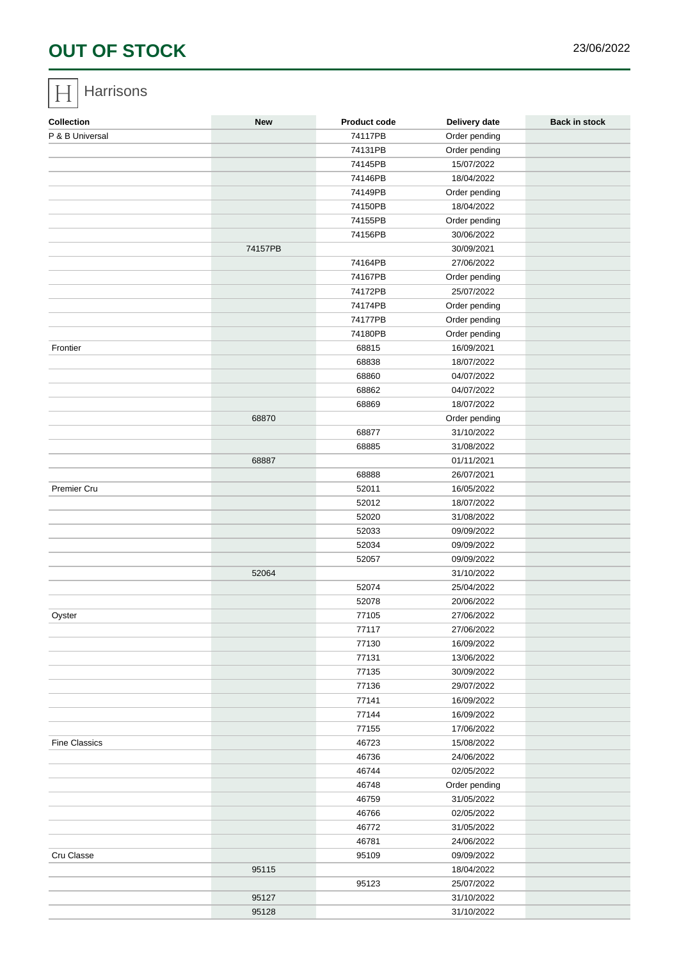# OUT OF STOCK 23/06/2022

#### **Harrisons**

| Collection           | New     | Product code | Delivery date | Back in stock |
|----------------------|---------|--------------|---------------|---------------|
| P & B Universal      |         | 74117PB      | Order pending |               |
|                      |         | 74131PB      | Order pending |               |
|                      |         | 74145PB      | 15/07/2022    |               |
|                      |         | 74146PB      | 18/04/2022    |               |
|                      |         | 74149PB      | Order pending |               |
|                      |         | 74150PB      | 18/04/2022    |               |
|                      |         | 74155PB      | Order pending |               |
|                      |         | 74156PB      | 30/06/2022    |               |
|                      | 74157PB |              | 30/09/2021    |               |
|                      |         | 74164PB      | 27/06/2022    |               |
|                      |         | 74167PB      | Order pending |               |
|                      |         | 74172PB      | 25/07/2022    |               |
|                      |         | 74174PB      | Order pending |               |
|                      |         | 74177PB      | Order pending |               |
|                      |         | 74180PB      | Order pending |               |
| Frontier             |         | 68815        | 16/09/2021    |               |
|                      |         | 68838        | 18/07/2022    |               |
|                      |         | 68860        | 04/07/2022    |               |
|                      |         | 68862        | 04/07/2022    |               |
|                      |         | 68869        | 18/07/2022    |               |
|                      | 68870   |              | Order pending |               |
|                      |         | 68877        | 31/10/2022    |               |
|                      |         | 68885        | 31/08/2022    |               |
|                      | 68887   |              | 01/11/2021    |               |
|                      |         | 68888        | 26/07/2021    |               |
| Premier Cru          |         | 52011        | 16/05/2022    |               |
|                      |         | 52012        | 18/07/2022    |               |
|                      |         | 52020        | 31/08/2022    |               |
|                      |         | 52033        | 09/09/2022    |               |
|                      |         | 52034        | 09/09/2022    |               |
|                      |         | 52057        | 09/09/2022    |               |
|                      | 52064   |              | 31/10/2022    |               |
|                      |         | 52074        | 25/04/2022    |               |
|                      |         | 52078        | 20/06/2022    |               |
| Oyster               |         | 77105        | 27/06/2022    |               |
|                      |         | (111)        | 27/06/2022    |               |
|                      |         | 77130        | 16/09/2022    |               |
|                      |         | 77131        | 13/06/2022    |               |
|                      |         | 77135        | 30/09/2022    |               |
|                      |         | 77136        | 29/07/2022    |               |
|                      |         | 77141        | 16/09/2022    |               |
|                      |         | 77144        | 16/09/2022    |               |
|                      |         | 77155        | 17/06/2022    |               |
| <b>Fine Classics</b> |         | 46723        | 15/08/2022    |               |
|                      |         | 46736        | 24/06/2022    |               |
|                      |         | 46744        | 02/05/2022    |               |
|                      |         | 46748        | Order pending |               |
|                      |         | 46759        | 31/05/2022    |               |
|                      |         | 46766        | 02/05/2022    |               |
|                      |         | 46772        | 31/05/2022    |               |
|                      |         | 46781        | 24/06/2022    |               |
| Cru Classe           |         | 95109        | 09/09/2022    |               |
|                      | 95115   |              | 18/04/2022    |               |
|                      |         | 95123        | 25/07/2022    |               |
|                      | 95127   |              | 31/10/2022    |               |
|                      | 95128   |              | 31/10/2022    |               |
|                      |         |              |               |               |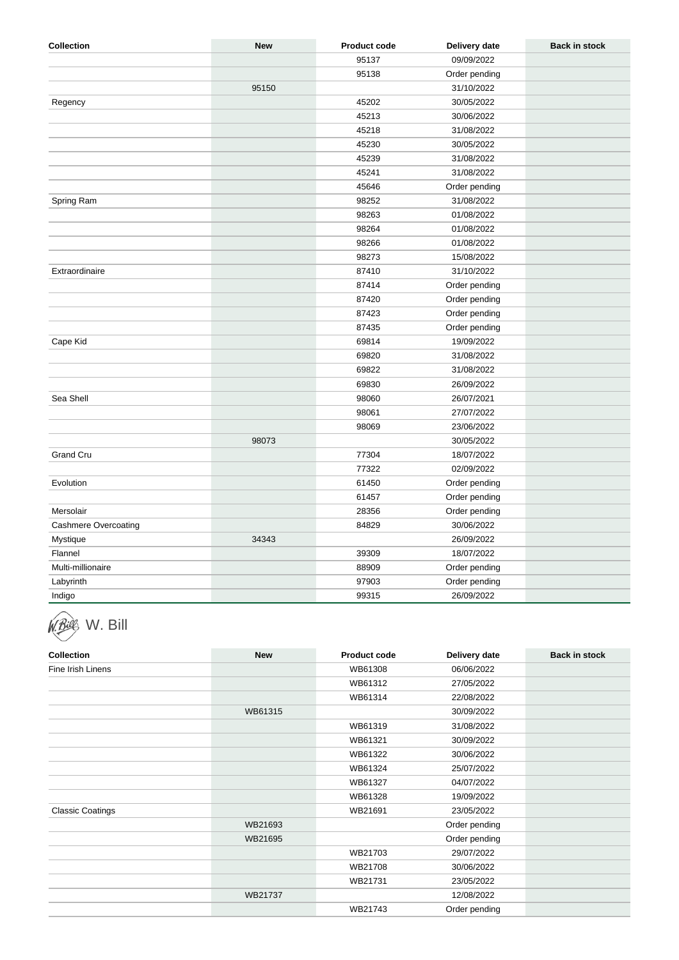| Collection           | <b>New</b> | Product code | Delivery date | Back in stock |
|----------------------|------------|--------------|---------------|---------------|
|                      |            | 95137        | 09/09/2022    |               |
|                      |            | 95138        | Order pending |               |
|                      | 95150      |              | 31/10/2022    |               |
| Regency              |            | 45202        | 30/05/2022    |               |
|                      |            | 45213        | 30/06/2022    |               |
|                      |            | 45218        | 31/08/2022    |               |
|                      |            | 45230        | 30/05/2022    |               |
|                      |            | 45239        | 31/08/2022    |               |
|                      |            | 45241        | 31/08/2022    |               |
|                      |            | 45646        | Order pending |               |
| Spring Ram           |            | 98252        | 31/08/2022    |               |
|                      |            | 98263        | 01/08/2022    |               |
|                      |            | 98264        | 01/08/2022    |               |
|                      |            | 98266        | 01/08/2022    |               |
|                      |            | 98273        | 15/08/2022    |               |
| Extraordinaire       |            | 87410        | 31/10/2022    |               |
|                      |            | 87414        | Order pending |               |
|                      |            | 87420        | Order pending |               |
|                      |            | 87423        | Order pending |               |
|                      |            | 87435        | Order pending |               |
| Cape Kid             |            | 69814        | 19/09/2022    |               |
|                      |            | 69820        | 31/08/2022    |               |
|                      |            | 69822        | 31/08/2022    |               |
|                      |            | 69830        | 26/09/2022    |               |
| Sea Shell            |            | 98060        | 26/07/2021    |               |
|                      |            | 98061        | 27/07/2022    |               |
|                      |            | 98069        | 23/06/2022    |               |
|                      | 98073      |              | 30/05/2022    |               |
| Grand Cru            |            | 77304        | 18/07/2022    |               |
|                      |            | 77322        | 02/09/2022    |               |
| Evolution            |            | 61450        | Order pending |               |
|                      |            | 61457        | Order pending |               |
| Mersolair            |            | 28356        | Order pending |               |
| Cashmere Overcoating |            | 84829        | 30/06/2022    |               |
| Mystique             | 34343      |              | 26/09/2022    |               |
| Flannel              |            | 39309        | 18/07/2022    |               |
| Multi-millionaire    |            | 88909        | Order pending |               |
| Labyrinth            |            | 97903        | Order pending |               |
| Indigo               |            | 99315        | 26/09/2022    |               |

## W. Bill

| Collection              | New     | Product code | Delivery date | Back in stock |
|-------------------------|---------|--------------|---------------|---------------|
| Fine Irish Linens       |         | WB61308      | 06/06/2022    |               |
|                         |         | WB61312      | 27/05/2022    |               |
|                         |         | WB61314      | 22/08/2022    |               |
|                         | WB61315 |              | 30/09/2022    |               |
|                         |         | WB61319      | 31/08/2022    |               |
|                         |         | WB61321      | 30/09/2022    |               |
|                         |         | WB61322      | 30/06/2022    |               |
|                         |         | WB61324      | 25/07/2022    |               |
|                         |         | WB61327      | 04/07/2022    |               |
|                         |         | WB61328      | 19/09/2022    |               |
| <b>Classic Coatings</b> |         | WB21691      | 23/05/2022    |               |
|                         | WB21693 |              | Order pending |               |
|                         | WB21695 |              | Order pending |               |
|                         |         | WB21703      | 29/07/2022    |               |
|                         |         | WB21708      | 30/06/2022    |               |
|                         |         | WB21731      | 23/05/2022    |               |
|                         | WB21737 |              | 12/08/2022    |               |
|                         |         | WB21743      | Order pending |               |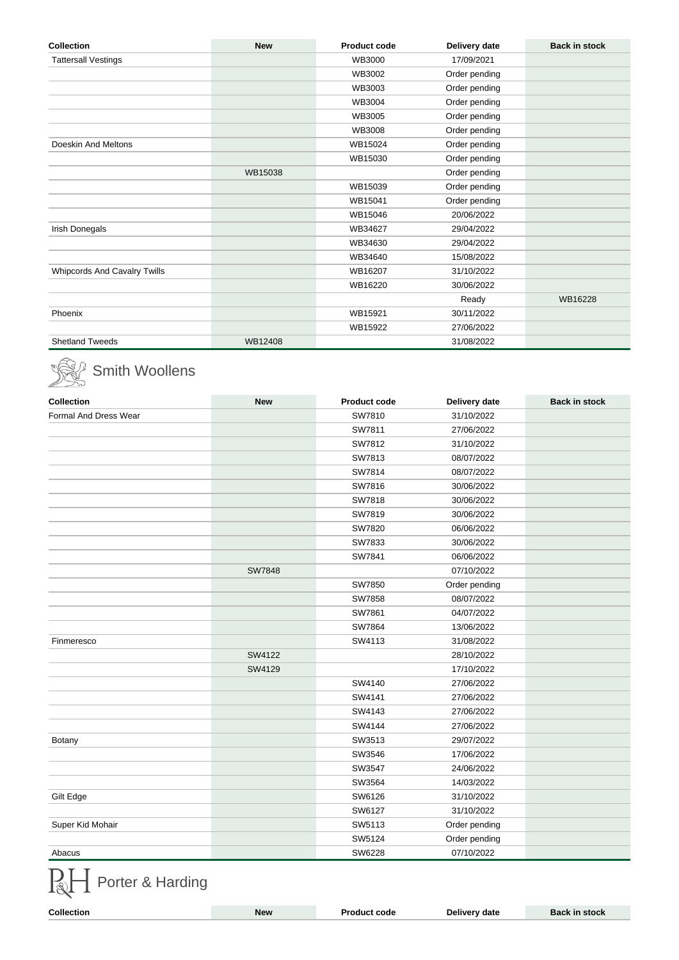| Collection                   | <b>New</b> | Product code | Delivery date | Back in stock |
|------------------------------|------------|--------------|---------------|---------------|
| <b>Tattersall Vestings</b>   |            | WB3000       | 17/09/2021    |               |
|                              |            | WB3002       | Order pending |               |
|                              |            | WB3003       | Order pending |               |
|                              |            | WB3004       | Order pending |               |
|                              |            | WB3005       | Order pending |               |
|                              |            | WB3008       | Order pending |               |
| Doeskin And Meltons          |            | WB15024      | Order pending |               |
|                              |            | WB15030      | Order pending |               |
|                              | WB15038    |              | Order pending |               |
|                              |            | WB15039      | Order pending |               |
|                              |            | WB15041      | Order pending |               |
|                              |            | WB15046      | 20/06/2022    |               |
| Irish Donegals               |            | WB34627      | 29/04/2022    |               |
|                              |            | WB34630      | 29/04/2022    |               |
|                              |            | WB34640      | 15/08/2022    |               |
| Whipcords And Cavalry Twills |            | WB16207      | 31/10/2022    |               |
|                              |            | WB16220      | 30/06/2022    |               |
|                              |            |              | Ready         | WB16228       |
| Phoenix                      |            | WB15921      | 30/11/2022    |               |
|                              |            | WB15922      | 27/06/2022    |               |
| <b>Shetland Tweeds</b>       | WB12408    |              | 31/08/2022    |               |

#### Smith Woollens

| Collection            | <b>New</b>    | Product code | Delivery date | Back in stock |
|-----------------------|---------------|--------------|---------------|---------------|
| Formal And Dress Wear |               | SW7810       | 31/10/2022    |               |
|                       |               | SW7811       | 27/06/2022    |               |
|                       |               | SW7812       | 31/10/2022    |               |
|                       |               | SW7813       | 08/07/2022    |               |
|                       |               | SW7814       | 08/07/2022    |               |
|                       |               | SW7816       | 30/06/2022    |               |
|                       |               | SW7818       | 30/06/2022    |               |
|                       |               | SW7819       | 30/06/2022    |               |
|                       |               | SW7820       | 06/06/2022    |               |
|                       |               | SW7833       | 30/06/2022    |               |
|                       |               | SW7841       | 06/06/2022    |               |
|                       | <b>SW7848</b> |              | 07/10/2022    |               |
|                       |               | SW7850       | Order pending |               |
|                       |               | SW7858       | 08/07/2022    |               |
|                       |               | SW7861       | 04/07/2022    |               |
|                       |               | SW7864       | 13/06/2022    |               |
| Finmeresco            |               | SW4113       | 31/08/2022    |               |
|                       | SW4122        |              | 28/10/2022    |               |
|                       | SW4129        |              | 17/10/2022    |               |
|                       |               | SW4140       | 27/06/2022    |               |
|                       |               | SW4141       | 27/06/2022    |               |
|                       |               | SW4143       | 27/06/2022    |               |
|                       |               | SW4144       | 27/06/2022    |               |
| Botany                |               | SW3513       | 29/07/2022    |               |
|                       |               | SW3546       | 17/06/2022    |               |
|                       |               | SW3547       | 24/06/2022    |               |
|                       |               | SW3564       | 14/03/2022    |               |
| Gilt Edge             |               | SW6126       | 31/10/2022    |               |
|                       |               | SW6127       | 31/10/2022    |               |
| Super Kid Mohair      |               | SW5113       | Order pending |               |
|                       |               | SW5124       | Order pending |               |
| Abacus                |               | SW6228       | 07/10/2022    |               |

### Porter & Harding

| Collection<br>the contract of the contract of the | ۱۸۱۵. | חר | ivery date | stock |
|---------------------------------------------------|-------|----|------------|-------|
|                                                   |       |    |            |       |